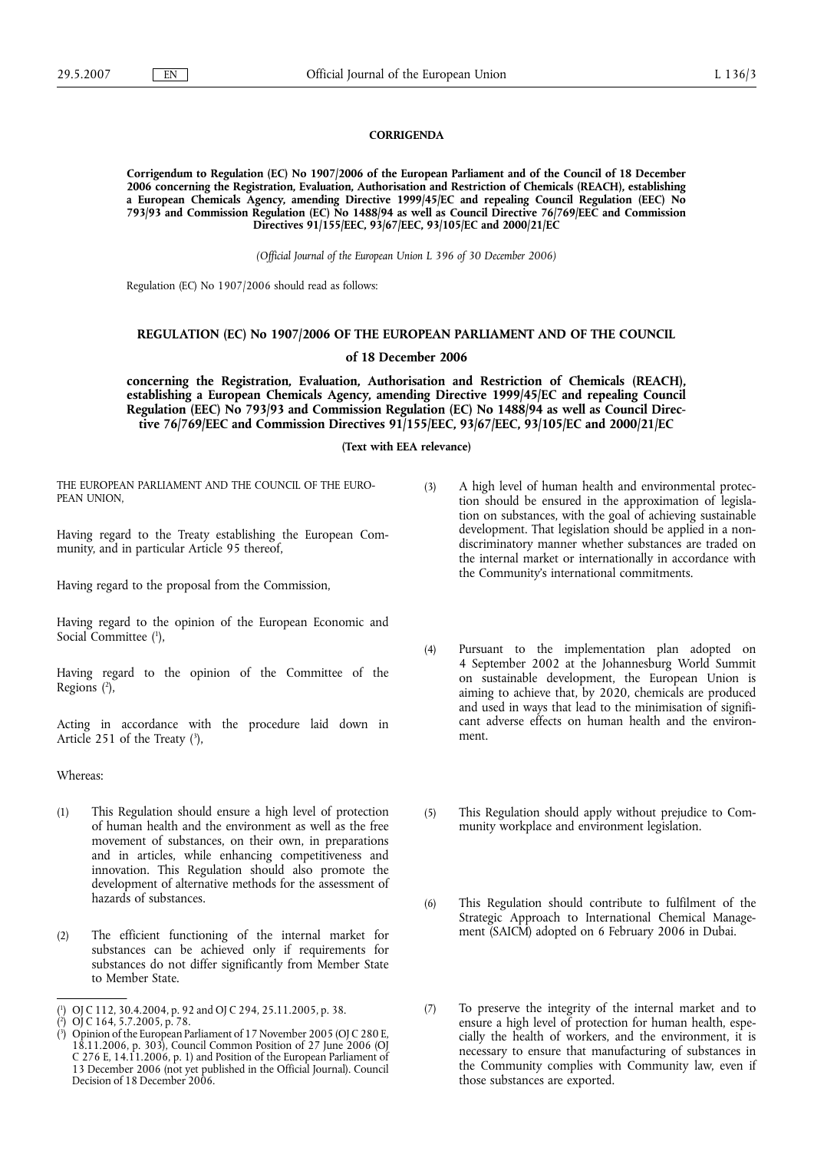## **CORRIGENDA**

**Corrigendum to Regulation (EC) No 1907/2006 of the European Parliament and of the Council of 18 December 2006 concerning the Registration, Evaluation, Authorisation and Restriction of Chemicals (REACH), establishing a European Chemicals Agency, amending Directive 1999/45/EC and repealing Council Regulation (EEC) No 793/93 and Commission Regulation (EC) No 1488/94 as well as Council Directive 76/769/EEC and Commission Directives 91/155/EEC, 93/67/EEC, 93/105/EC and 2000/21/EC**

*(Official Journal of the European Union L 396 of 30 December 2006)*

Regulation (EC) No 1907/2006 should read as follows:

## **REGULATION (EC) No 1907/2006 OF THE EUROPEAN PARLIAMENT AND OF THE COUNCIL**

## **of 18 December 2006**

**concerning the Registration, Evaluation, Authorisation and Restriction of Chemicals (REACH), establishing a European Chemicals Agency, amending Directive 1999/45/EC and repealing Council Regulation (EEC) No 793/93 and Commission Regulation (EC) No 1488/94 as well as Council Directive 76/769/EEC and Commission Directives 91/155/EEC, 93/67/EEC, 93/105/EC and 2000/21/EC**

## **(Text with EEA relevance)**

THE EUROPEAN PARLIAMENT AND THE COUNCIL OF THE EURO-PEAN UNION,

Having regard to the Treaty establishing the European Community, and in particular Article 95 thereof,

Having regard to the proposal from the Commission,

Having regard to the opinion of the European Economic and Social Committee (<sup>1</sup>),

Having regard to the opinion of the Committee of the Regions (2),

Acting in accordance with the procedure laid down in Article  $251$  of the Treaty  $(3)$ ,

Whereas:

- (1) This Regulation should ensure a high level of protection of human health and the environment as well as the free movement of substances, on their own, in preparations and in articles, while enhancing competitiveness and innovation. This Regulation should also promote the development of alternative methods for the assessment of hazards of substances.
- (2) The efficient functioning of the internal market for substances can be achieved only if requirements for substances do not differ significantly from Member State to Member State.
- (3) A high level of human health and environmental protection should be ensured in the approximation of legislation on substances, with the goal of achieving sustainable development. That legislation should be applied in a nondiscriminatory manner whether substances are traded on the internal market or internationally in accordance with the Community's international commitments.
- (4) Pursuant to the implementation plan adopted on 4 September 2002 at the Johannesburg World Summit on sustainable development, the European Union is aiming to achieve that, by 2020, chemicals are produced and used in ways that lead to the minimisation of significant adverse effects on human health and the environment.
- (5) This Regulation should apply without prejudice to Community workplace and environment legislation.
- (6) This Regulation should contribute to fulfilment of the Strategic Approach to International Chemical Management (SAICM) adopted on 6 February 2006 in Dubai.
- (7) To preserve the integrity of the internal market and to ensure a high level of protection for human health, especially the health of workers, and the environment, it is necessary to ensure that manufacturing of substances in the Community complies with Community law, even if those substances are exported.

<sup>(</sup> 1 ) OJ C 112, 30.4.2004, p. 92 and OJ C 294, 25.11.2005, p. 38.

<sup>(</sup> 2 ) OJ C 164, 5.7.2005, p. 78.

<sup>(</sup> 3 ) Opinion of the European Parliament of 17 November 2005 (OJ C 280 E, 18.11.2006, p. 303), Council Common Position of 27 June 2006 (OJ C 276 E, 14.11.2006, p. 1) and Position of the European Parliament of 13 December 2006 (not yet published in the Official Journal). Council Decision of 18 December 2006.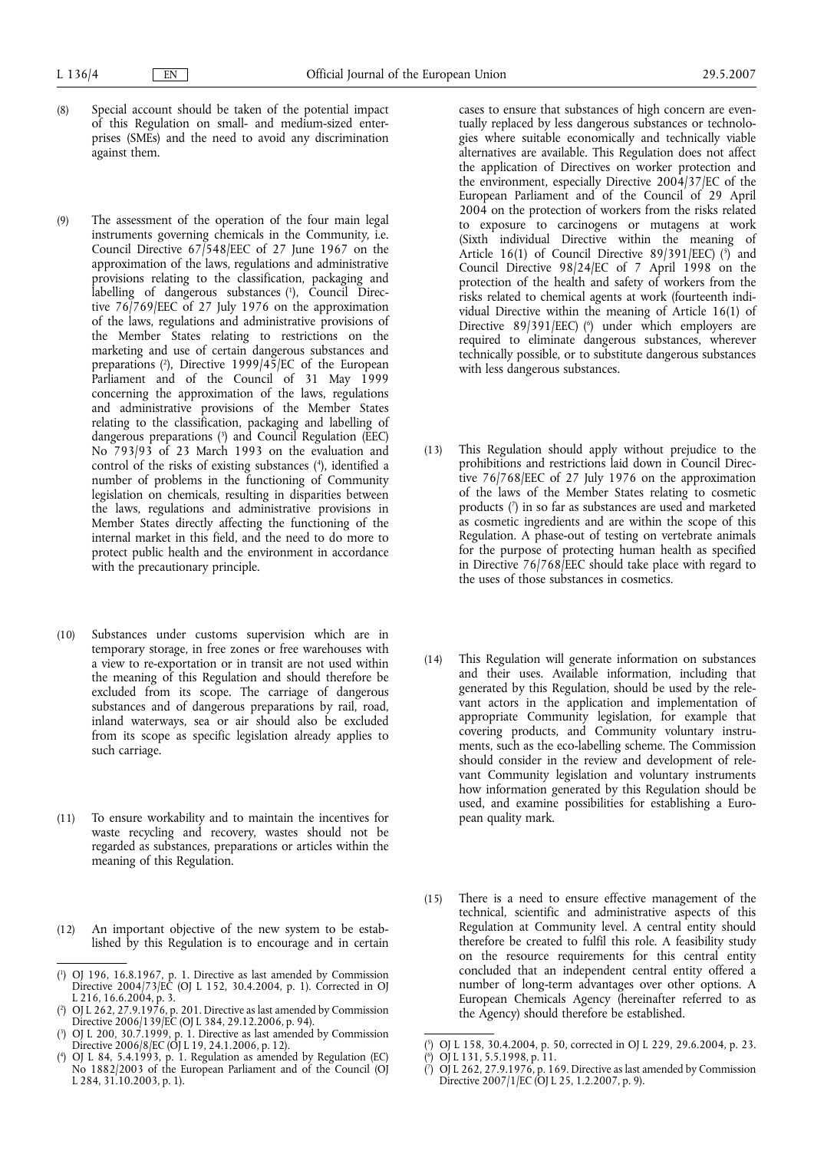- (8) Special account should be taken of the potential impact of this Regulation on small- and medium-sized enterprises (SMEs) and the need to avoid any discrimination against them.
- (9) The assessment of the operation of the four main legal instruments governing chemicals in the Community, i.e. Council Directive 67/548/EEC of 27 June 1967 on the approximation of the laws, regulations and administrative provisions relating to the classification, packaging and labelling of dangerous substances (1), Council Directive 76/769/EEC of 27 July 1976 on the approximation of the laws, regulations and administrative provisions of the Member States relating to restrictions on the marketing and use of certain dangerous substances and preparations (2 ), Directive 1999/45/EC of the European Parliament and of the Council of 31 May 1999 concerning the approximation of the laws, regulations and administrative provisions of the Member States relating to the classification, packaging and labelling of dangerous preparations (3 ) and Council Regulation (EEC) No 793/93 of 23 March 1993 on the evaluation and control of the risks of existing substances (4 ), identified a number of problems in the functioning of Community legislation on chemicals, resulting in disparities between the laws, regulations and administrative provisions in Member States directly affecting the functioning of the internal market in this field, and the need to do more to protect public health and the environment in accordance with the precautionary principle.
- (10) Substances under customs supervision which are in temporary storage, in free zones or free warehouses with a view to re-exportation or in transit are not used within the meaning of this Regulation and should therefore be excluded from its scope. The carriage of dangerous substances and of dangerous preparations by rail, road, inland waterways, sea or air should also be excluded from its scope as specific legislation already applies to such carriage.
- (11) To ensure workability and to maintain the incentives for waste recycling and recovery, wastes should not be regarded as substances, preparations or articles within the meaning of this Regulation.
- (12) An important objective of the new system to be established by this Regulation is to encourage and in certain

cases to ensure that substances of high concern are eventually replaced by less dangerous substances or technologies where suitable economically and technically viable alternatives are available. This Regulation does not affect the application of Directives on worker protection and the environment, especially Directive 2004/37/EC of the European Parliament and of the Council of 29 April 2004 on the protection of workers from the risks related to exposure to carcinogens or mutagens at work (Sixth individual Directive within the meaning of Article 16(1) of Council Directive  $89/391/EEC$  (5) and Council Directive 98/24/EC of 7 April 1998 on the protection of the health and safety of workers from the risks related to chemical agents at work (fourteenth individual Directive within the meaning of Article 16(1) of Directive 89/391/EEC) (<sup>6</sup>) under which employers are required to eliminate dangerous substances, wherever technically possible, or to substitute dangerous substances with less dangerous substances.

- (13) This Regulation should apply without prejudice to the prohibitions and restrictions laid down in Council Directive 76/768/EEC of 27 July 1976 on the approximation of the laws of the Member States relating to cosmetic products ( $\theta$ ) in so far as substances are used and marketed as cosmetic ingredients and are within the scope of this Regulation. A phase-out of testing on vertebrate animals for the purpose of protecting human health as specified in Directive 76/768/EEC should take place with regard to the uses of those substances in cosmetics.
- (14) This Regulation will generate information on substances and their uses. Available information, including that generated by this Regulation, should be used by the relevant actors in the application and implementation of appropriate Community legislation, for example that covering products, and Community voluntary instruments, such as the eco-labelling scheme. The Commission should consider in the review and development of relevant Community legislation and voluntary instruments how information generated by this Regulation should be used, and examine possibilities for establishing a European quality mark.
- (15) There is a need to ensure effective management of the technical, scientific and administrative aspects of this Regulation at Community level. A central entity should therefore be created to fulfil this role. A feasibility study on the resource requirements for this central entity concluded that an independent central entity offered a number of long-term advantages over other options. A European Chemicals Agency (hereinafter referred to as the Agency) should therefore be established.

<sup>(</sup> 1 ) OJ 196, 16.8.1967, p. 1. Directive as last amended by Commission Directive 2004/73/EC (OJ L 152, 30.4.2004, p. 1). Corrected in OJ L 216, 16.6.2004, p. 3.

<sup>(</sup> 2 ) OJ L 262, 27.9.1976, p. 201. Directive as last amended by Commission Directive 2006/139/EC (OJ L 384, 29.12.2006, p. 94).

<sup>(</sup> 3 ) OJ L 200, 30.7.1999, p. 1. Directive as last amended by Commission Directive 2006/8/EC (OJ L 19, 24.1.2006, p. 12).

 $($ <sup>4</sup> ) OJ L 84, 5.4.1993, p. 1. Regulation as amended by Regulation (EC) No 1882/2003 of the European Parliament and of the Council (OJ L 284, 31.10.2003, p. 1).

<sup>(</sup> 5 ) OJ L 158, 30.4.2004, p. 50, corrected in OJ L 229, 29.6.2004, p. 23.

<sup>(</sup> 6 ) OJ L 131, 5.5.1998, p. 11.

<sup>(</sup> 7 ) OJ L 262, 27.9.1976, p. 169. Directive as last amended by Commission Directive 2007/1/EC (OJ L 25, 1.2.2007, p. 9).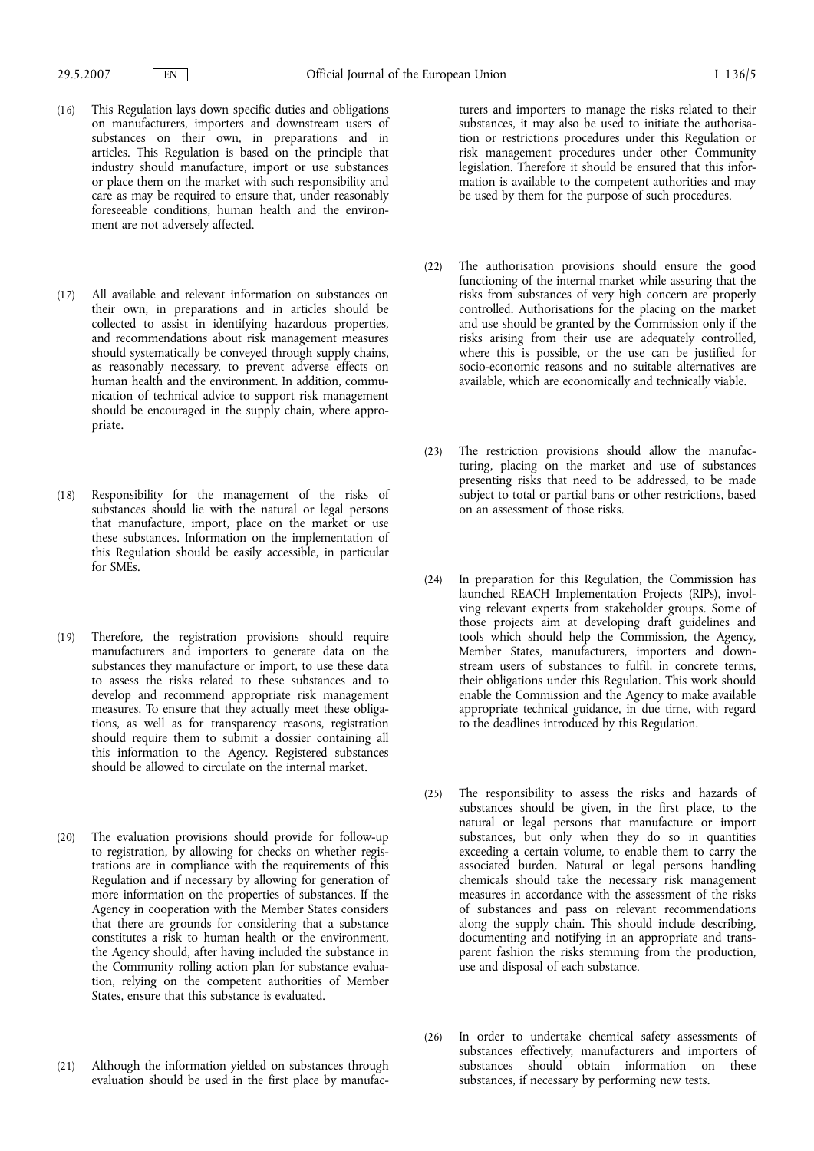- (16) This Regulation lays down specific duties and obligations on manufacturers, importers and downstream users of substances on their own, in preparations and in articles. This Regulation is based on the principle that industry should manufacture, import or use substances or place them on the market with such responsibility and care as may be required to ensure that, under reasonably foreseeable conditions, human health and the environment are not adversely affected.
- (17) All available and relevant information on substances on their own, in preparations and in articles should be collected to assist in identifying hazardous properties, and recommendations about risk management measures should systematically be conveyed through supply chains, as reasonably necessary, to prevent adverse effects on human health and the environment. In addition, communication of technical advice to support risk management should be encouraged in the supply chain, where appropriate.
- (18) Responsibility for the management of the risks of substances should lie with the natural or legal persons that manufacture, import, place on the market or use these substances. Information on the implementation of this Regulation should be easily accessible, in particular for SMEs.
- (19) Therefore, the registration provisions should require manufacturers and importers to generate data on the substances they manufacture or import, to use these data to assess the risks related to these substances and to develop and recommend appropriate risk management measures. To ensure that they actually meet these obligations, as well as for transparency reasons, registration should require them to submit a dossier containing all this information to the Agency. Registered substances should be allowed to circulate on the internal market.
- (20) The evaluation provisions should provide for follow-up to registration, by allowing for checks on whether registrations are in compliance with the requirements of this Regulation and if necessary by allowing for generation of more information on the properties of substances. If the Agency in cooperation with the Member States considers that there are grounds for considering that a substance constitutes a risk to human health or the environment, the Agency should, after having included the substance in the Community rolling action plan for substance evaluation, relying on the competent authorities of Member States, ensure that this substance is evaluated.
- (21) Although the information yielded on substances through evaluation should be used in the first place by manufac-

turers and importers to manage the risks related to their substances, it may also be used to initiate the authorisation or restrictions procedures under this Regulation or risk management procedures under other Community legislation. Therefore it should be ensured that this information is available to the competent authorities and may be used by them for the purpose of such procedures.

- (22) The authorisation provisions should ensure the good functioning of the internal market while assuring that the risks from substances of very high concern are properly controlled. Authorisations for the placing on the market and use should be granted by the Commission only if the risks arising from their use are adequately controlled, where this is possible, or the use can be justified for socio-economic reasons and no suitable alternatives are available, which are economically and technically viable.
- (23) The restriction provisions should allow the manufacturing, placing on the market and use of substances presenting risks that need to be addressed, to be made subject to total or partial bans or other restrictions, based on an assessment of those risks.
- (24) In preparation for this Regulation, the Commission has launched REACH Implementation Projects (RIPs), involving relevant experts from stakeholder groups. Some of those projects aim at developing draft guidelines and tools which should help the Commission, the Agency, Member States, manufacturers, importers and downstream users of substances to fulfil, in concrete terms, their obligations under this Regulation. This work should enable the Commission and the Agency to make available appropriate technical guidance, in due time, with regard to the deadlines introduced by this Regulation.
- (25) The responsibility to assess the risks and hazards of substances should be given, in the first place, to the natural or legal persons that manufacture or import substances, but only when they do so in quantities exceeding a certain volume, to enable them to carry the associated burden. Natural or legal persons handling chemicals should take the necessary risk management measures in accordance with the assessment of the risks of substances and pass on relevant recommendations along the supply chain. This should include describing, documenting and notifying in an appropriate and transparent fashion the risks stemming from the production, use and disposal of each substance.
- (26) In order to undertake chemical safety assessments of substances effectively, manufacturers and importers of substances should obtain information on these substances, if necessary by performing new tests.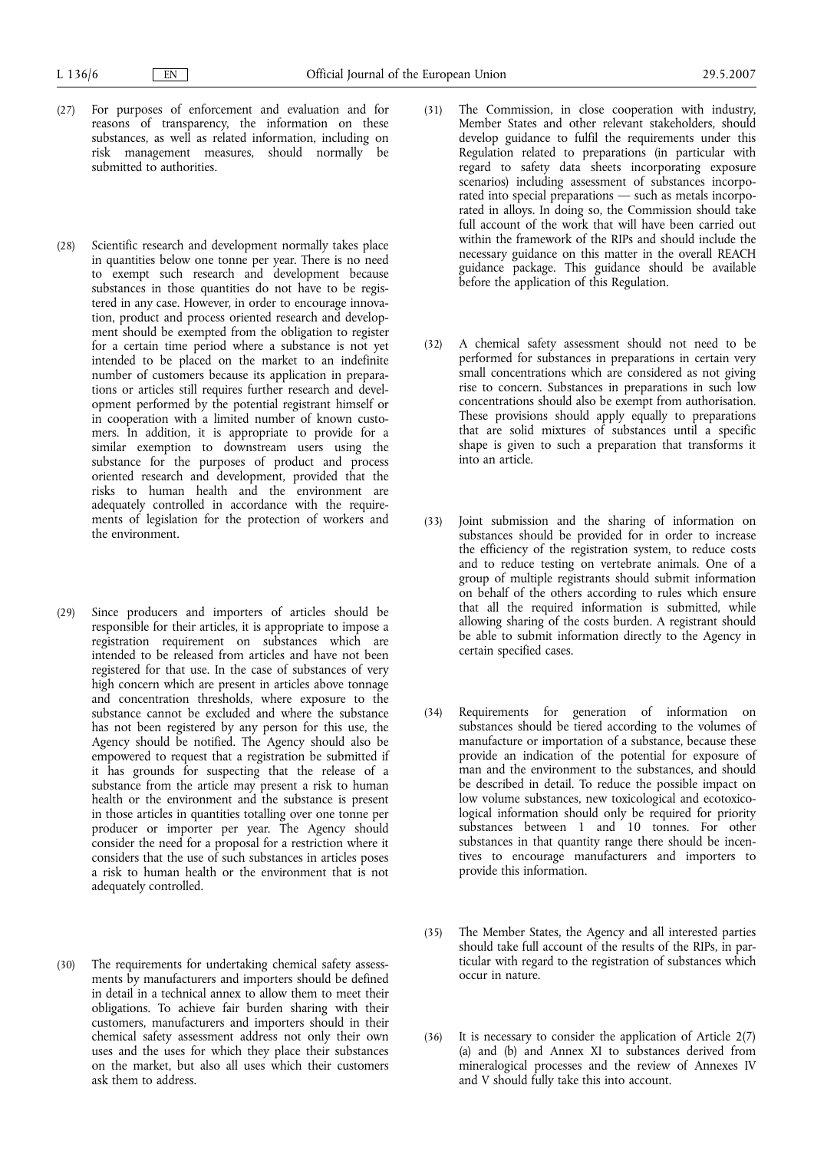- (27) For purposes of enforcement and evaluation and for reasons of transparency, the information on these substances, as well as related information, including on risk management measures, should normally be submitted to authorities.
- (28) Scientific research and development normally takes place in quantities below one tonne per year. There is no need to exempt such research and development because substances in those quantities do not have to be registered in any case. However, in order to encourage innovation, product and process oriented research and development should be exempted from the obligation to register for a certain time period where a substance is not yet intended to be placed on the market to an indefinite number of customers because its application in preparations or articles still requires further research and development performed by the potential registrant himself or in cooperation with a limited number of known customers. In addition, it is appropriate to provide for a similar exemption to downstream users using the substance for the purposes of product and process oriented research and development, provided that the risks to human health and the environment are adequately controlled in accordance with the requirements of legislation for the protection of workers and the environment.
- (29) Since producers and importers of articles should be responsible for their articles, it is appropriate to impose a registration requirement on substances which are intended to be released from articles and have not been registered for that use. In the case of substances of very high concern which are present in articles above tonnage and concentration thresholds, where exposure to the substance cannot be excluded and where the substance has not been registered by any person for this use, the Agency should be notified. The Agency should also be empowered to request that a registration be submitted if it has grounds for suspecting that the release of a substance from the article may present a risk to human health or the environment and the substance is present in those articles in quantities totalling over one tonne per producer or importer per year. The Agency should consider the need for a proposal for a restriction where it considers that the use of such substances in articles poses a risk to human health or the environment that is not adequately controlled.
- (30) The requirements for undertaking chemical safety assessments by manufacturers and importers should be defined in detail in a technical annex to allow them to meet their obligations. To achieve fair burden sharing with their customers, manufacturers and importers should in their chemical safety assessment address not only their own uses and the uses for which they place their substances on the market, but also all uses which their customers ask them to address.
- (31) The Commission, in close cooperation with industry, Member States and other relevant stakeholders, should develop guidance to fulfil the requirements under this Regulation related to preparations (in particular with regard to safety data sheets incorporating exposure scenarios) including assessment of substances incorporated into special preparations — such as metals incorporated in alloys. In doing so, the Commission should take full account of the work that will have been carried out within the framework of the RIPs and should include the necessary guidance on this matter in the overall REACH guidance package. This guidance should be available before the application of this Regulation.
- (32) A chemical safety assessment should not need to be performed for substances in preparations in certain very small concentrations which are considered as not giving rise to concern. Substances in preparations in such low concentrations should also be exempt from authorisation. These provisions should apply equally to preparations that are solid mixtures of substances until a specific shape is given to such a preparation that transforms it into an article.
- (33) Joint submission and the sharing of information on substances should be provided for in order to increase the efficiency of the registration system, to reduce costs and to reduce testing on vertebrate animals. One of a group of multiple registrants should submit information on behalf of the others according to rules which ensure that all the required information is submitted, while allowing sharing of the costs burden. A registrant should be able to submit information directly to the Agency in certain specified cases.
- (34) Requirements for generation of information on substances should be tiered according to the volumes of manufacture or importation of a substance, because these provide an indication of the potential for exposure of man and the environment to the substances, and should be described in detail. To reduce the possible impact on low volume substances, new toxicological and ecotoxicological information should only be required for priority substances between 1 and 10 tonnes. For other substances in that quantity range there should be incentives to encourage manufacturers and importers to provide this information.
- (35) The Member States, the Agency and all interested parties should take full account of the results of the RIPs, in particular with regard to the registration of substances which occur in nature.
- (36) It is necessary to consider the application of Article 2(7) (a) and (b) and Annex XI to substances derived from mineralogical processes and the review of Annexes IV and V should fully take this into account.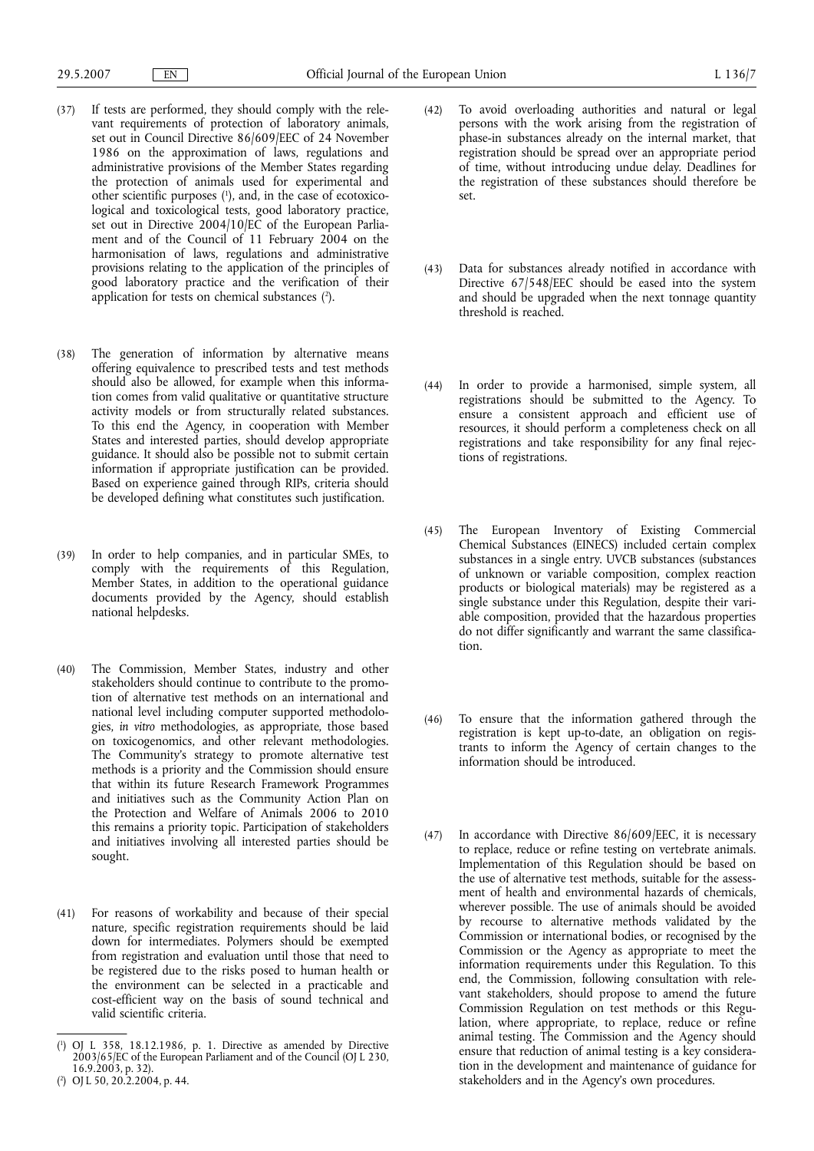- (37) If tests are performed, they should comply with the relevant requirements of protection of laboratory animals, set out in Council Directive 86/609/EEC of 24 November 1986 on the approximation of laws, regulations and administrative provisions of the Member States regarding the protection of animals used for experimental and other scientific purposes (1), and, in the case of ecotoxicological and toxicological tests, good laboratory practice, set out in Directive 2004/10/EC of the European Parliament and of the Council of 11 February 2004 on the harmonisation of laws, regulations and administrative provisions relating to the application of the principles of good laboratory practice and the verification of their application for tests on chemical substances  $(2)$ .
- (38) The generation of information by alternative means offering equivalence to prescribed tests and test methods should also be allowed, for example when this information comes from valid qualitative or quantitative structure activity models or from structurally related substances. To this end the Agency, in cooperation with Member States and interested parties, should develop appropriate guidance. It should also be possible not to submit certain information if appropriate justification can be provided. Based on experience gained through RIPs, criteria should be developed defining what constitutes such justification.
- (39) In order to help companies, and in particular SMEs, to comply with the requirements of this Regulation, Member States, in addition to the operational guidance documents provided by the Agency, should establish national helpdesks.
- (40) The Commission, Member States, industry and other stakeholders should continue to contribute to the promotion of alternative test methods on an international and national level including computer supported methodologies, *in vitro* methodologies, as appropriate, those based on toxicogenomics, and other relevant methodologies. The Community's strategy to promote alternative test methods is a priority and the Commission should ensure that within its future Research Framework Programmes and initiatives such as the Community Action Plan on the Protection and Welfare of Animals 2006 to 2010 this remains a priority topic. Participation of stakeholders and initiatives involving all interested parties should be sought.
- (41) For reasons of workability and because of their special nature, specific registration requirements should be laid down for intermediates. Polymers should be exempted from registration and evaluation until those that need to be registered due to the risks posed to human health or the environment can be selected in a practicable and cost-efficient way on the basis of sound technical and valid scientific criteria.
- (42) To avoid overloading authorities and natural or legal persons with the work arising from the registration of phase-in substances already on the internal market, that registration should be spread over an appropriate period of time, without introducing undue delay. Deadlines for the registration of these substances should therefore be set.
- (43) Data for substances already notified in accordance with Directive 67/548/EEC should be eased into the system and should be upgraded when the next tonnage quantity threshold is reached.
- (44) In order to provide a harmonised, simple system, all registrations should be submitted to the Agency. To ensure a consistent approach and efficient use of resources, it should perform a completeness check on all registrations and take responsibility for any final rejections of registrations.
- (45) The European Inventory of Existing Commercial Chemical Substances (EINECS) included certain complex substances in a single entry. UVCB substances (substances of unknown or variable composition, complex reaction products or biological materials) may be registered as a single substance under this Regulation, despite their variable composition, provided that the hazardous properties do not differ significantly and warrant the same classification.
- (46) To ensure that the information gathered through the registration is kept up-to-date, an obligation on registrants to inform the Agency of certain changes to the information should be introduced.
- (47) In accordance with Directive 86/609/EEC, it is necessary to replace, reduce or refine testing on vertebrate animals. Implementation of this Regulation should be based on the use of alternative test methods, suitable for the assessment of health and environmental hazards of chemicals, wherever possible. The use of animals should be avoided by recourse to alternative methods validated by the Commission or international bodies, or recognised by the Commission or the Agency as appropriate to meet the information requirements under this Regulation. To this end, the Commission, following consultation with relevant stakeholders, should propose to amend the future Commission Regulation on test methods or this Regulation, where appropriate, to replace, reduce or refine animal testing. The Commission and the Agency should ensure that reduction of animal testing is a key consideration in the development and maintenance of guidance for stakeholders and in the Agency's own procedures.

<sup>(</sup> 1 ) OJ L 358, 18.12.1986, p. 1. Directive as amended by Directive 2003/65/EC of the European Parliament and of the Council (OJ L 230, 16.9.2003, p. 32).

<sup>(</sup> 2 ) OJ L 50, 20.2.2004, p. 44.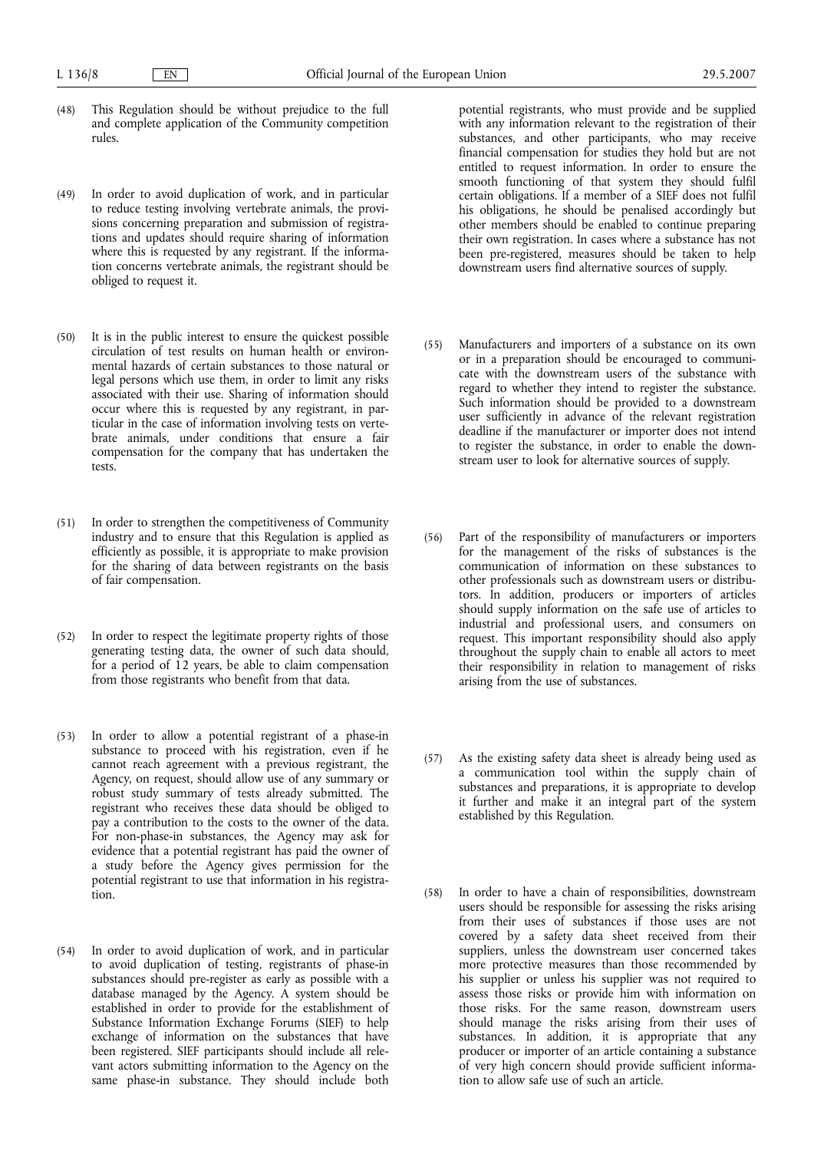- (48) This Regulation should be without prejudice to the full and complete application of the Community competition rules.
- (49) In order to avoid duplication of work, and in particular to reduce testing involving vertebrate animals, the provisions concerning preparation and submission of registrations and updates should require sharing of information where this is requested by any registrant. If the information concerns vertebrate animals, the registrant should be obliged to request it.
- (50) It is in the public interest to ensure the quickest possible circulation of test results on human health or environmental hazards of certain substances to those natural or legal persons which use them, in order to limit any risks associated with their use. Sharing of information should occur where this is requested by any registrant, in particular in the case of information involving tests on vertebrate animals, under conditions that ensure a fair compensation for the company that has undertaken the tests.
- (51) In order to strengthen the competitiveness of Community industry and to ensure that this Regulation is applied as efficiently as possible, it is appropriate to make provision for the sharing of data between registrants on the basis of fair compensation.
- (52) In order to respect the legitimate property rights of those generating testing data, the owner of such data should, for a period of 12 years, be able to claim compensation from those registrants who benefit from that data.
- (53) In order to allow a potential registrant of a phase-in substance to proceed with his registration, even if he cannot reach agreement with a previous registrant, the Agency, on request, should allow use of any summary or robust study summary of tests already submitted. The registrant who receives these data should be obliged to pay a contribution to the costs to the owner of the data. For non-phase-in substances, the Agency may ask for evidence that a potential registrant has paid the owner of a study before the Agency gives permission for the potential registrant to use that information in his registration.
- (54) In order to avoid duplication of work, and in particular to avoid duplication of testing, registrants of phase-in substances should pre-register as early as possible with a database managed by the Agency. A system should be established in order to provide for the establishment of Substance Information Exchange Forums (SIEF) to help exchange of information on the substances that have been registered. SIEF participants should include all relevant actors submitting information to the Agency on the same phase-in substance. They should include both

potential registrants, who must provide and be supplied with any information relevant to the registration of their substances, and other participants, who may receive financial compensation for studies they hold but are not entitled to request information. In order to ensure the smooth functioning of that system they should fulfil certain obligations. If a member of a SIEF does not fulfil his obligations, he should be penalised accordingly but other members should be enabled to continue preparing their own registration. In cases where a substance has not been pre-registered, measures should be taken to help downstream users find alternative sources of supply.

- (55) Manufacturers and importers of a substance on its own or in a preparation should be encouraged to communicate with the downstream users of the substance with regard to whether they intend to register the substance. Such information should be provided to a downstream user sufficiently in advance of the relevant registration deadline if the manufacturer or importer does not intend to register the substance, in order to enable the downstream user to look for alternative sources of supply.
- (56) Part of the responsibility of manufacturers or importers for the management of the risks of substances is the communication of information on these substances to other professionals such as downstream users or distributors. In addition, producers or importers of articles should supply information on the safe use of articles to industrial and professional users, and consumers on request. This important responsibility should also apply throughout the supply chain to enable all actors to meet their responsibility in relation to management of risks arising from the use of substances.
- (57) As the existing safety data sheet is already being used as a communication tool within the supply chain of substances and preparations, it is appropriate to develop it further and make it an integral part of the system established by this Regulation.
- (58) In order to have a chain of responsibilities, downstream users should be responsible for assessing the risks arising from their uses of substances if those uses are not covered by a safety data sheet received from their suppliers, unless the downstream user concerned takes more protective measures than those recommended by his supplier or unless his supplier was not required to assess those risks or provide him with information on those risks. For the same reason, downstream users should manage the risks arising from their uses of substances. In addition, it is appropriate that any producer or importer of an article containing a substance of very high concern should provide sufficient information to allow safe use of such an article.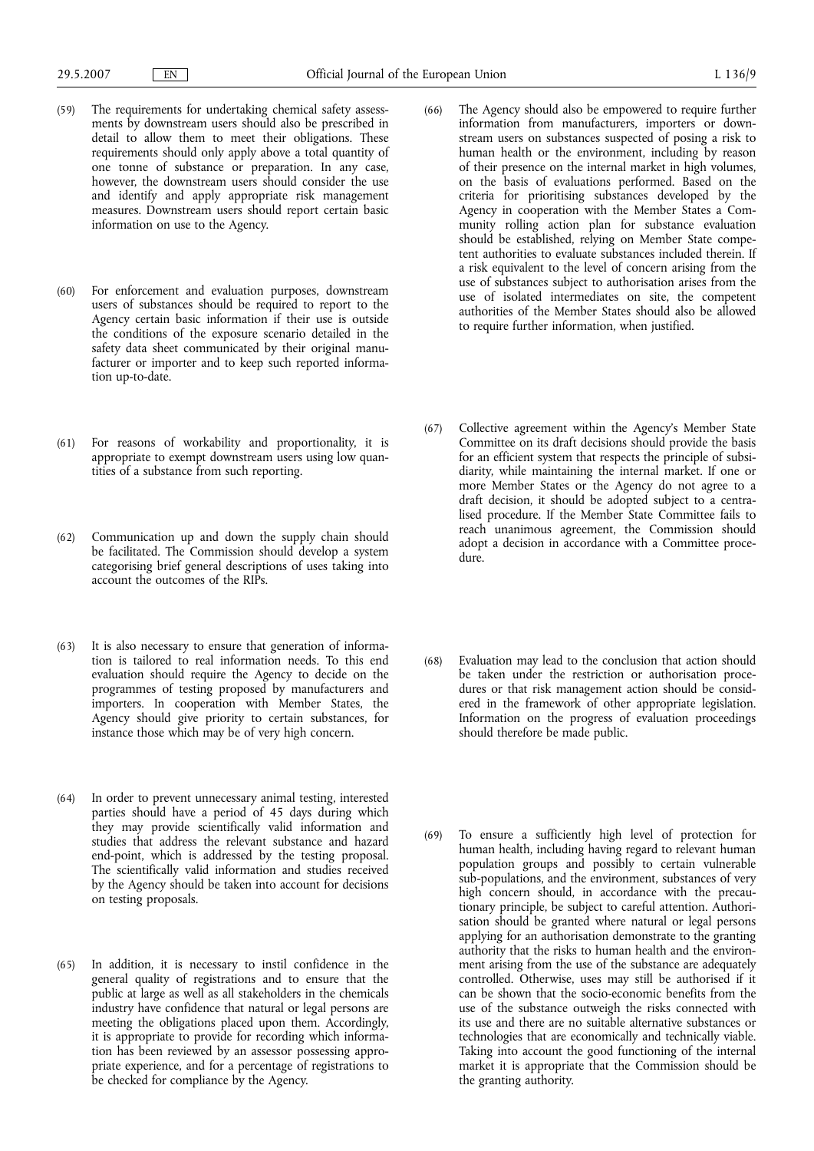- (59) The requirements for undertaking chemical safety assessments by downstream users should also be prescribed in detail to allow them to meet their obligations. These requirements should only apply above a total quantity of one tonne of substance or preparation. In any case, however, the downstream users should consider the use and identify and apply appropriate risk management measures. Downstream users should report certain basic information on use to the Agency.
- (60) For enforcement and evaluation purposes, downstream users of substances should be required to report to the Agency certain basic information if their use is outside the conditions of the exposure scenario detailed in the safety data sheet communicated by their original manufacturer or importer and to keep such reported information up-to-date.
- (61) For reasons of workability and proportionality, it is appropriate to exempt downstream users using low quantities of a substance from such reporting.
- (62) Communication up and down the supply chain should be facilitated. The Commission should develop a system categorising brief general descriptions of uses taking into account the outcomes of the RIPs.
- (63) It is also necessary to ensure that generation of information is tailored to real information needs. To this end evaluation should require the Agency to decide on the programmes of testing proposed by manufacturers and importers. In cooperation with Member States, the Agency should give priority to certain substances, for instance those which may be of very high concern.
- (64) In order to prevent unnecessary animal testing, interested parties should have a period of 45 days during which they may provide scientifically valid information and studies that address the relevant substance and hazard end-point, which is addressed by the testing proposal. The scientifically valid information and studies received by the Agency should be taken into account for decisions on testing proposals.
- (65) In addition, it is necessary to instil confidence in the general quality of registrations and to ensure that the public at large as well as all stakeholders in the chemicals industry have confidence that natural or legal persons are meeting the obligations placed upon them. Accordingly, it is appropriate to provide for recording which information has been reviewed by an assessor possessing appropriate experience, and for a percentage of registrations to be checked for compliance by the Agency.
- (66) The Agency should also be empowered to require further information from manufacturers, importers or downstream users on substances suspected of posing a risk to human health or the environment, including by reason of their presence on the internal market in high volumes, on the basis of evaluations performed. Based on the criteria for prioritising substances developed by the Agency in cooperation with the Member States a Community rolling action plan for substance evaluation should be established, relying on Member State competent authorities to evaluate substances included therein. If a risk equivalent to the level of concern arising from the use of substances subject to authorisation arises from the use of isolated intermediates on site, the competent authorities of the Member States should also be allowed to require further information, when justified.
- (67) Collective agreement within the Agency's Member State Committee on its draft decisions should provide the basis for an efficient system that respects the principle of subsidiarity, while maintaining the internal market. If one or more Member States or the Agency do not agree to a draft decision, it should be adopted subject to a centralised procedure. If the Member State Committee fails to reach unanimous agreement, the Commission should adopt a decision in accordance with a Committee procedure.
- (68) Evaluation may lead to the conclusion that action should be taken under the restriction or authorisation procedures or that risk management action should be considered in the framework of other appropriate legislation. Information on the progress of evaluation proceedings should therefore be made public.
- (69) To ensure a sufficiently high level of protection for human health, including having regard to relevant human population groups and possibly to certain vulnerable sub-populations, and the environment, substances of very high concern should, in accordance with the precautionary principle, be subject to careful attention. Authorisation should be granted where natural or legal persons applying for an authorisation demonstrate to the granting authority that the risks to human health and the environment arising from the use of the substance are adequately controlled. Otherwise, uses may still be authorised if it can be shown that the socio-economic benefits from the use of the substance outweigh the risks connected with its use and there are no suitable alternative substances or technologies that are economically and technically viable. Taking into account the good functioning of the internal market it is appropriate that the Commission should be the granting authority.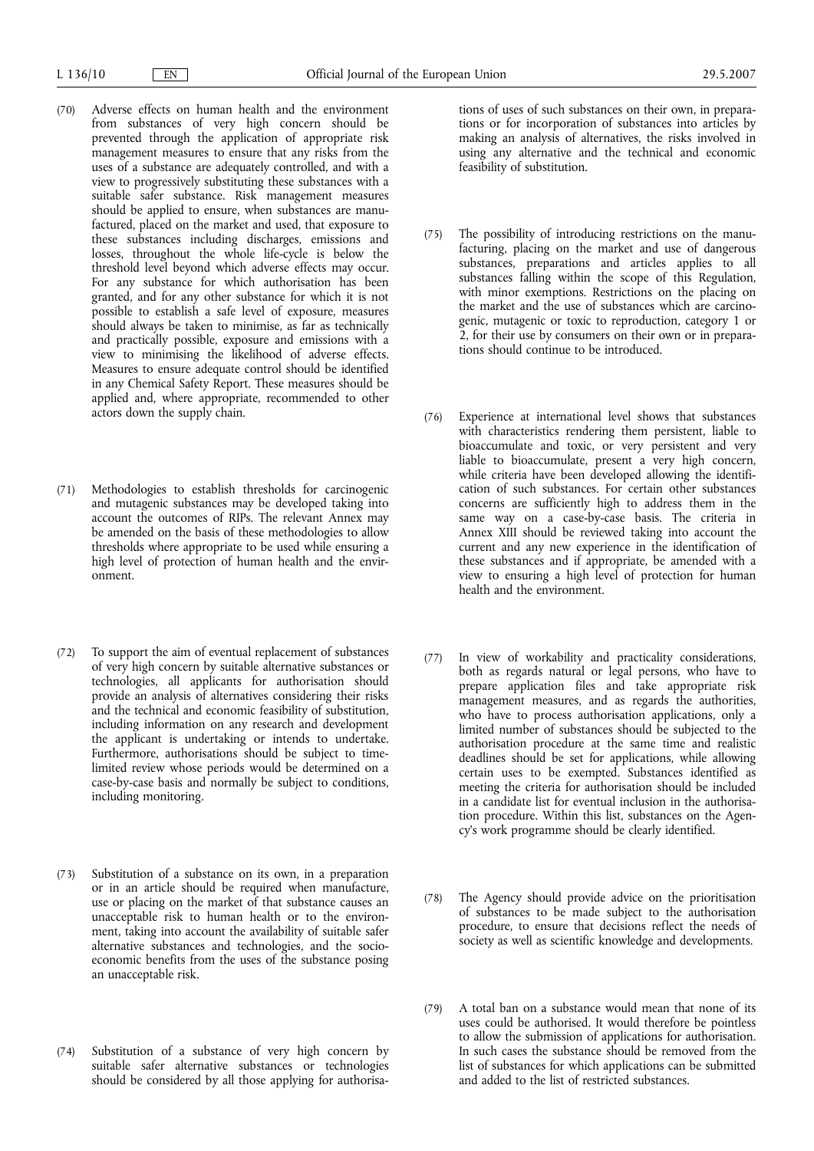- (70) Adverse effects on human health and the environment from substances of very high concern should be prevented through the application of appropriate risk management measures to ensure that any risks from the uses of a substance are adequately controlled, and with a view to progressively substituting these substances with a suitable safer substance. Risk management measures should be applied to ensure, when substances are manufactured, placed on the market and used, that exposure to these substances including discharges, emissions and losses, throughout the whole life-cycle is below the threshold level beyond which adverse effects may occur. For any substance for which authorisation has been granted, and for any other substance for which it is not possible to establish a safe level of exposure, measures should always be taken to minimise, as far as technically and practically possible, exposure and emissions with a view to minimising the likelihood of adverse effects. Measures to ensure adequate control should be identified in any Chemical Safety Report. These measures should be applied and, where appropriate, recommended to other actors down the supply chain.
- (71) Methodologies to establish thresholds for carcinogenic and mutagenic substances may be developed taking into account the outcomes of RIPs. The relevant Annex may be amended on the basis of these methodologies to allow thresholds where appropriate to be used while ensuring a high level of protection of human health and the environment.
- (72) To support the aim of eventual replacement of substances of very high concern by suitable alternative substances or technologies, all applicants for authorisation should provide an analysis of alternatives considering their risks and the technical and economic feasibility of substitution, including information on any research and development the applicant is undertaking or intends to undertake. Furthermore, authorisations should be subject to timelimited review whose periods would be determined on a case-by-case basis and normally be subject to conditions, including monitoring.
- (73) Substitution of a substance on its own, in a preparation or in an article should be required when manufacture, use or placing on the market of that substance causes an unacceptable risk to human health or to the environment, taking into account the availability of suitable safer alternative substances and technologies, and the socioeconomic benefits from the uses of the substance posing an unacceptable risk.
- (74) Substitution of a substance of very high concern by suitable safer alternative substances or technologies should be considered by all those applying for authorisa-

tions of uses of such substances on their own, in preparations or for incorporation of substances into articles by making an analysis of alternatives, the risks involved in using any alternative and the technical and economic feasibility of substitution.

- (75) The possibility of introducing restrictions on the manufacturing, placing on the market and use of dangerous substances, preparations and articles applies to all substances falling within the scope of this Regulation, with minor exemptions. Restrictions on the placing on the market and the use of substances which are carcinogenic, mutagenic or toxic to reproduction, category 1 or 2, for their use by consumers on their own or in preparations should continue to be introduced.
- (76) Experience at international level shows that substances with characteristics rendering them persistent, liable to bioaccumulate and toxic, or very persistent and very liable to bioaccumulate, present a very high concern, while criteria have been developed allowing the identification of such substances. For certain other substances concerns are sufficiently high to address them in the same way on a case-by-case basis. The criteria in Annex XIII should be reviewed taking into account the current and any new experience in the identification of these substances and if appropriate, be amended with a view to ensuring a high level of protection for human health and the environment.
- (77) In view of workability and practicality considerations, both as regards natural or legal persons, who have to prepare application files and take appropriate risk management measures, and as regards the authorities, who have to process authorisation applications, only a limited number of substances should be subjected to the authorisation procedure at the same time and realistic deadlines should be set for applications, while allowing certain uses to be exempted. Substances identified as meeting the criteria for authorisation should be included in a candidate list for eventual inclusion in the authorisation procedure. Within this list, substances on the Agency's work programme should be clearly identified.
- (78) The Agency should provide advice on the prioritisation of substances to be made subject to the authorisation procedure, to ensure that decisions reflect the needs of society as well as scientific knowledge and developments.
- (79) A total ban on a substance would mean that none of its uses could be authorised. It would therefore be pointless to allow the submission of applications for authorisation. In such cases the substance should be removed from the list of substances for which applications can be submitted and added to the list of restricted substances.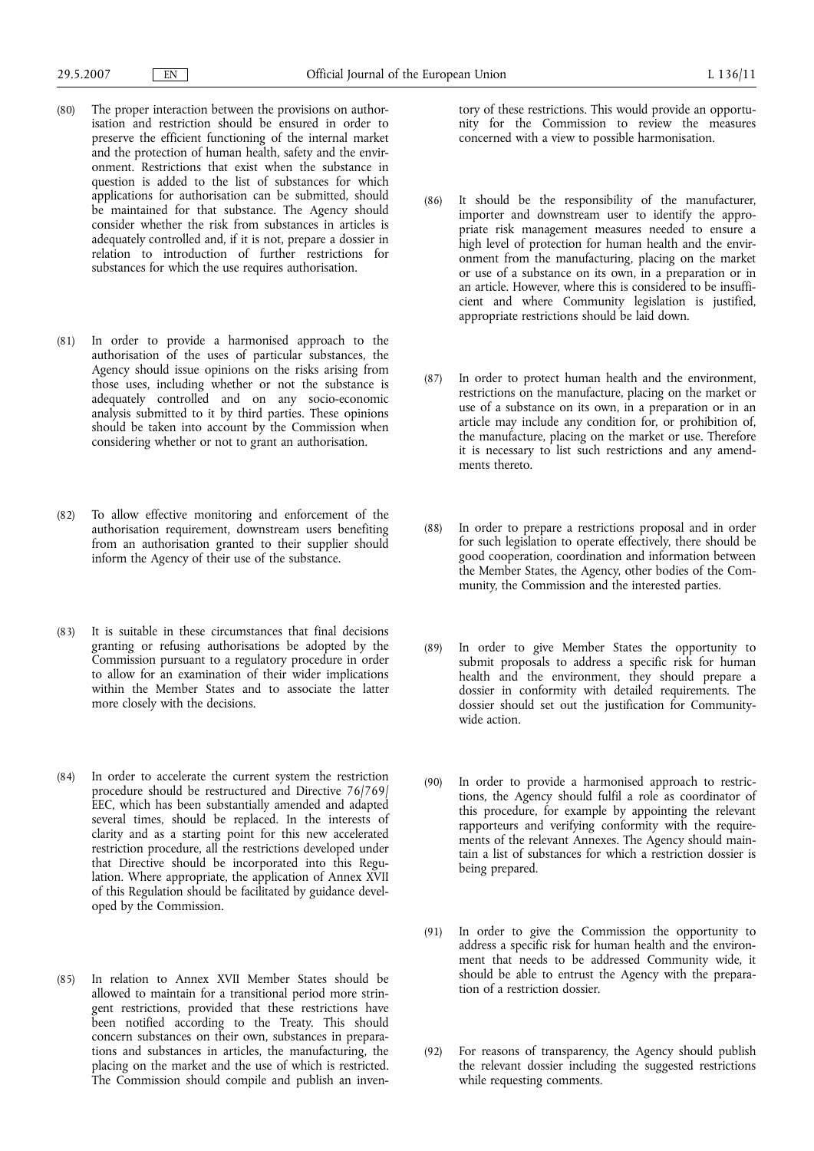- (80) The proper interaction between the provisions on authorisation and restriction should be ensured in order to preserve the efficient functioning of the internal market and the protection of human health, safety and the environment. Restrictions that exist when the substance in question is added to the list of substances for which applications for authorisation can be submitted, should be maintained for that substance. The Agency should consider whether the risk from substances in articles is adequately controlled and, if it is not, prepare a dossier in relation to introduction of further restrictions for substances for which the use requires authorisation.
- (81) In order to provide a harmonised approach to the authorisation of the uses of particular substances, the Agency should issue opinions on the risks arising from those uses, including whether or not the substance is adequately controlled and on any socio-economic analysis submitted to it by third parties. These opinions should be taken into account by the Commission when considering whether or not to grant an authorisation.
- (82) To allow effective monitoring and enforcement of the authorisation requirement, downstream users benefiting from an authorisation granted to their supplier should inform the Agency of their use of the substance.
- (83) It is suitable in these circumstances that final decisions granting or refusing authorisations be adopted by the Commission pursuant to a regulatory procedure in order to allow for an examination of their wider implications within the Member States and to associate the latter more closely with the decisions.
- (84) In order to accelerate the current system the restriction procedure should be restructured and Directive 76/769/ EEC, which has been substantially amended and adapted several times, should be replaced. In the interests of clarity and as a starting point for this new accelerated restriction procedure, all the restrictions developed under that Directive should be incorporated into this Regulation. Where appropriate, the application of Annex XVII of this Regulation should be facilitated by guidance developed by the Commission.
- (85) In relation to Annex XVII Member States should be allowed to maintain for a transitional period more stringent restrictions, provided that these restrictions have been notified according to the Treaty. This should concern substances on their own, substances in preparations and substances in articles, the manufacturing, the placing on the market and the use of which is restricted. The Commission should compile and publish an inven-

tory of these restrictions. This would provide an opportunity for the Commission to review the measures concerned with a view to possible harmonisation.

- (86) It should be the responsibility of the manufacturer, importer and downstream user to identify the appropriate risk management measures needed to ensure a high level of protection for human health and the environment from the manufacturing, placing on the market or use of a substance on its own, in a preparation or in an article. However, where this is considered to be insufficient and where Community legislation is justified, appropriate restrictions should be laid down.
- (87) In order to protect human health and the environment, restrictions on the manufacture, placing on the market or use of a substance on its own, in a preparation or in an article may include any condition for, or prohibition of, the manufacture, placing on the market or use. Therefore it is necessary to list such restrictions and any amendments thereto.
- (88) In order to prepare a restrictions proposal and in order for such legislation to operate effectively, there should be good cooperation, coordination and information between the Member States, the Agency, other bodies of the Community, the Commission and the interested parties.
- (89) In order to give Member States the opportunity to submit proposals to address a specific risk for human health and the environment, they should prepare a dossier in conformity with detailed requirements. The dossier should set out the justification for Communitywide action.
- (90) In order to provide a harmonised approach to restrictions, the Agency should fulfil a role as coordinator of this procedure, for example by appointing the relevant rapporteurs and verifying conformity with the requirements of the relevant Annexes. The Agency should maintain a list of substances for which a restriction dossier is being prepared.
- (91) In order to give the Commission the opportunity to address a specific risk for human health and the environment that needs to be addressed Community wide, it should be able to entrust the Agency with the preparation of a restriction dossier.
- (92) For reasons of transparency, the Agency should publish the relevant dossier including the suggested restrictions while requesting comments.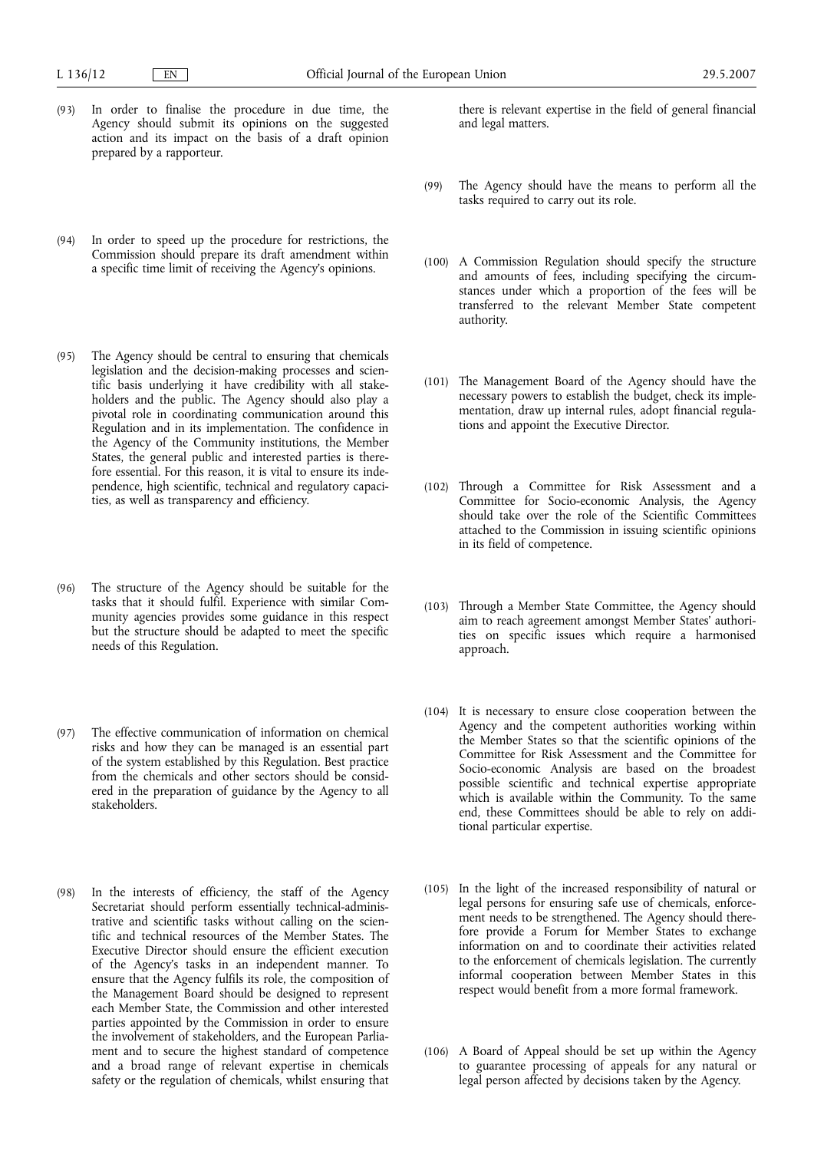- (93) In order to finalise the procedure in due time, the Agency should submit its opinions on the suggested action and its impact on the basis of a draft opinion prepared by a rapporteur.
- (94) In order to speed up the procedure for restrictions, the Commission should prepare its draft amendment within a specific time limit of receiving the Agency's opinions.
- (95) The Agency should be central to ensuring that chemicals legislation and the decision-making processes and scientific basis underlying it have credibility with all stakeholders and the public. The Agency should also play a pivotal role in coordinating communication around this Regulation and in its implementation. The confidence in the Agency of the Community institutions, the Member States, the general public and interested parties is therefore essential. For this reason, it is vital to ensure its independence, high scientific, technical and regulatory capacities, as well as transparency and efficiency.
- (96) The structure of the Agency should be suitable for the tasks that it should fulfil. Experience with similar Community agencies provides some guidance in this respect but the structure should be adapted to meet the specific needs of this Regulation.
- (97) The effective communication of information on chemical risks and how they can be managed is an essential part of the system established by this Regulation. Best practice from the chemicals and other sectors should be considered in the preparation of guidance by the Agency to all stakeholders.
- (98) In the interests of efficiency, the staff of the Agency Secretariat should perform essentially technical-administrative and scientific tasks without calling on the scientific and technical resources of the Member States. The Executive Director should ensure the efficient execution of the Agency's tasks in an independent manner. To ensure that the Agency fulfils its role, the composition of the Management Board should be designed to represent each Member State, the Commission and other interested parties appointed by the Commission in order to ensure the involvement of stakeholders, and the European Parliament and to secure the highest standard of competence and a broad range of relevant expertise in chemicals safety or the regulation of chemicals, whilst ensuring that

there is relevant expertise in the field of general financial and legal matters.

- (99) The Agency should have the means to perform all the tasks required to carry out its role.
- (100) A Commission Regulation should specify the structure and amounts of fees, including specifying the circumstances under which a proportion of the fees will be transferred to the relevant Member State competent authority.
- (101) The Management Board of the Agency should have the necessary powers to establish the budget, check its implementation, draw up internal rules, adopt financial regulations and appoint the Executive Director.
- (102) Through a Committee for Risk Assessment and a Committee for Socio-economic Analysis, the Agency should take over the role of the Scientific Committees attached to the Commission in issuing scientific opinions in its field of competence.
- (103) Through a Member State Committee, the Agency should aim to reach agreement amongst Member States' authorities on specific issues which require a harmonised approach.
- (104) It is necessary to ensure close cooperation between the Agency and the competent authorities working within the Member States so that the scientific opinions of the Committee for Risk Assessment and the Committee for Socio-economic Analysis are based on the broadest possible scientific and technical expertise appropriate which is available within the Community. To the same end, these Committees should be able to rely on additional particular expertise.
- (105) In the light of the increased responsibility of natural or legal persons for ensuring safe use of chemicals, enforcement needs to be strengthened. The Agency should therefore provide a Forum for Member States to exchange information on and to coordinate their activities related to the enforcement of chemicals legislation. The currently informal cooperation between Member States in this respect would benefit from a more formal framework.
- (106) A Board of Appeal should be set up within the Agency to guarantee processing of appeals for any natural or legal person affected by decisions taken by the Agency.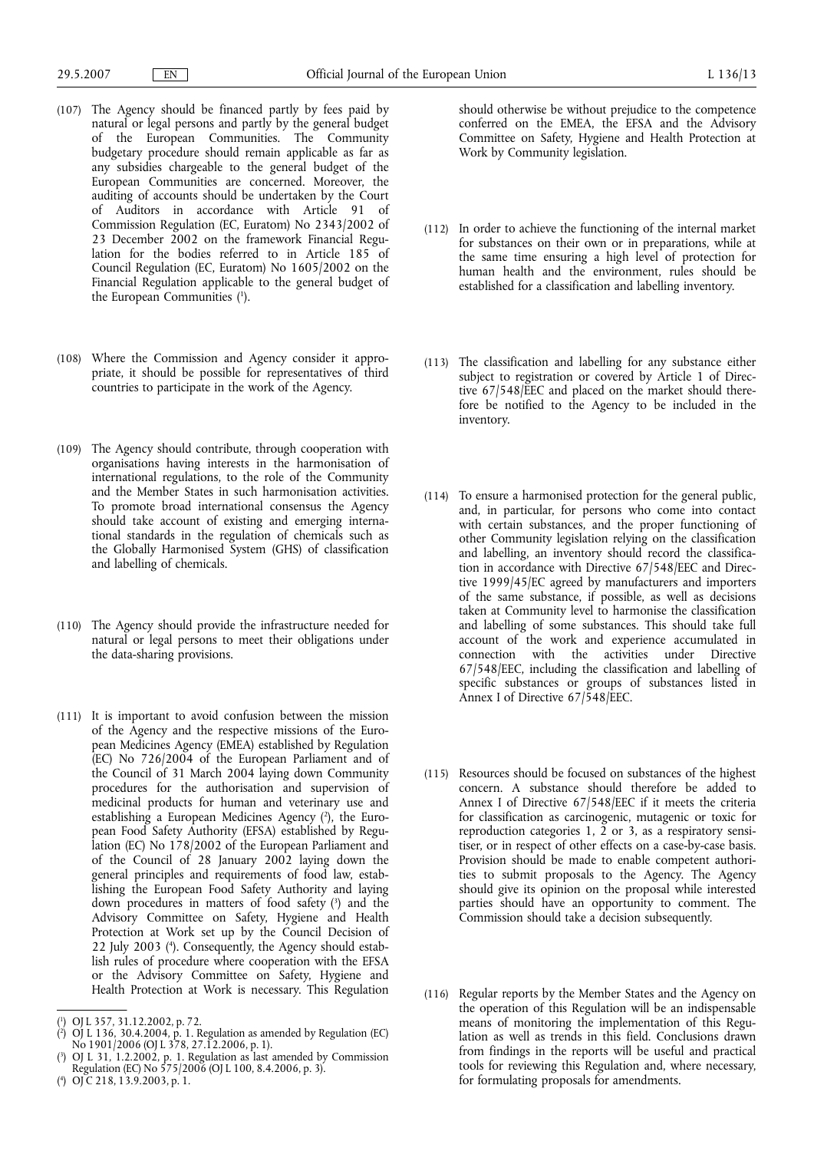- (107) The Agency should be financed partly by fees paid by natural or legal persons and partly by the general budget of the European Communities. The Community budgetary procedure should remain applicable as far as any subsidies chargeable to the general budget of the European Communities are concerned. Moreover, the auditing of accounts should be undertaken by the Court of Auditors in accordance with Article 91 of Commission Regulation (EC, Euratom) No 2343/2002 of 23 December 2002 on the framework Financial Regulation for the bodies referred to in Article 185 of Council Regulation (EC, Euratom) No 1605/2002 on the Financial Regulation applicable to the general budget of the European Communities (1).
- (108) Where the Commission and Agency consider it appropriate, it should be possible for representatives of third countries to participate in the work of the Agency.
- (109) The Agency should contribute, through cooperation with organisations having interests in the harmonisation of international regulations, to the role of the Community and the Member States in such harmonisation activities. To promote broad international consensus the Agency should take account of existing and emerging international standards in the regulation of chemicals such as the Globally Harmonised System (GHS) of classification and labelling of chemicals.
- (110) The Agency should provide the infrastructure needed for natural or legal persons to meet their obligations under the data-sharing provisions.
- (111) It is important to avoid confusion between the mission of the Agency and the respective missions of the European Medicines Agency (EMEA) established by Regulation (EC) No 726/2004 of the European Parliament and of the Council of 31 March 2004 laying down Community procedures for the authorisation and supervision of medicinal products for human and veterinary use and establishing a European Medicines Agency (2), the European Food Safety Authority (EFSA) established by Regulation (EC) No 178/2002 of the European Parliament and of the Council of 28 January 2002 laying down the general principles and requirements of food law, establishing the European Food Safety Authority and laying down procedures in matters of food safety (3) and the Advisory Committee on Safety, Hygiene and Health Protection at Work set up by the Council Decision of 22 July 2003 (4 ). Consequently, the Agency should establish rules of procedure where cooperation with the EFSA or the Advisory Committee on Safety, Hygiene and Health Protection at Work is necessary. This Regulation

should otherwise be without prejudice to the competence conferred on the EMEA, the EFSA and the Advisory Committee on Safety, Hygiene and Health Protection at Work by Community legislation.

- (112) In order to achieve the functioning of the internal market for substances on their own or in preparations, while at the same time ensuring a high level of protection for human health and the environment, rules should be established for a classification and labelling inventory.
- (113) The classification and labelling for any substance either subject to registration or covered by Article 1 of Directive 67/548/EEC and placed on the market should therefore be notified to the Agency to be included in the inventory.
- (114) To ensure a harmonised protection for the general public, and, in particular, for persons who come into contact with certain substances, and the proper functioning of other Community legislation relying on the classification and labelling, an inventory should record the classification in accordance with Directive 67/548/EEC and Directive 1999/45/EC agreed by manufacturers and importers of the same substance, if possible, as well as decisions taken at Community level to harmonise the classification and labelling of some substances. This should take full account of the work and experience accumulated in connection with the activities under Directive 67/548/EEC, including the classification and labelling of specific substances or groups of substances listed in Annex I of Directive 67/548/EEC.
- (115) Resources should be focused on substances of the highest concern. A substance should therefore be added to Annex I of Directive 67/548/EEC if it meets the criteria for classification as carcinogenic, mutagenic or toxic for reproduction categories 1, 2 or 3, as a respiratory sensitiser, or in respect of other effects on a case-by-case basis. Provision should be made to enable competent authorities to submit proposals to the Agency. The Agency should give its opinion on the proposal while interested parties should have an opportunity to comment. The Commission should take a decision subsequently.
- (116) Regular reports by the Member States and the Agency on the operation of this Regulation will be an indispensable means of monitoring the implementation of this Regulation as well as trends in this field. Conclusions drawn from findings in the reports will be useful and practical tools for reviewing this Regulation and, where necessary, for formulating proposals for amendments.

<sup>(</sup> 1 ) OJ L 357, 31.12.2002, p. 72.

<sup>(</sup> 2 ) OJ L 136, 30.4.2004, p. 1. Regulation as amended by Regulation (EC) No 1901/2006 (OJ L 378, 27.12.2006, p. 1).

<sup>(</sup> 3 ) OJ L 31, 1.2.2002, p. 1. Regulation as last amended by Commission Regulation (EC) No 575/2006 (OJ L 100, 8.4.2006, p. 3).

<sup>(</sup> 4 ) OJ C 218, 13.9.2003, p. 1.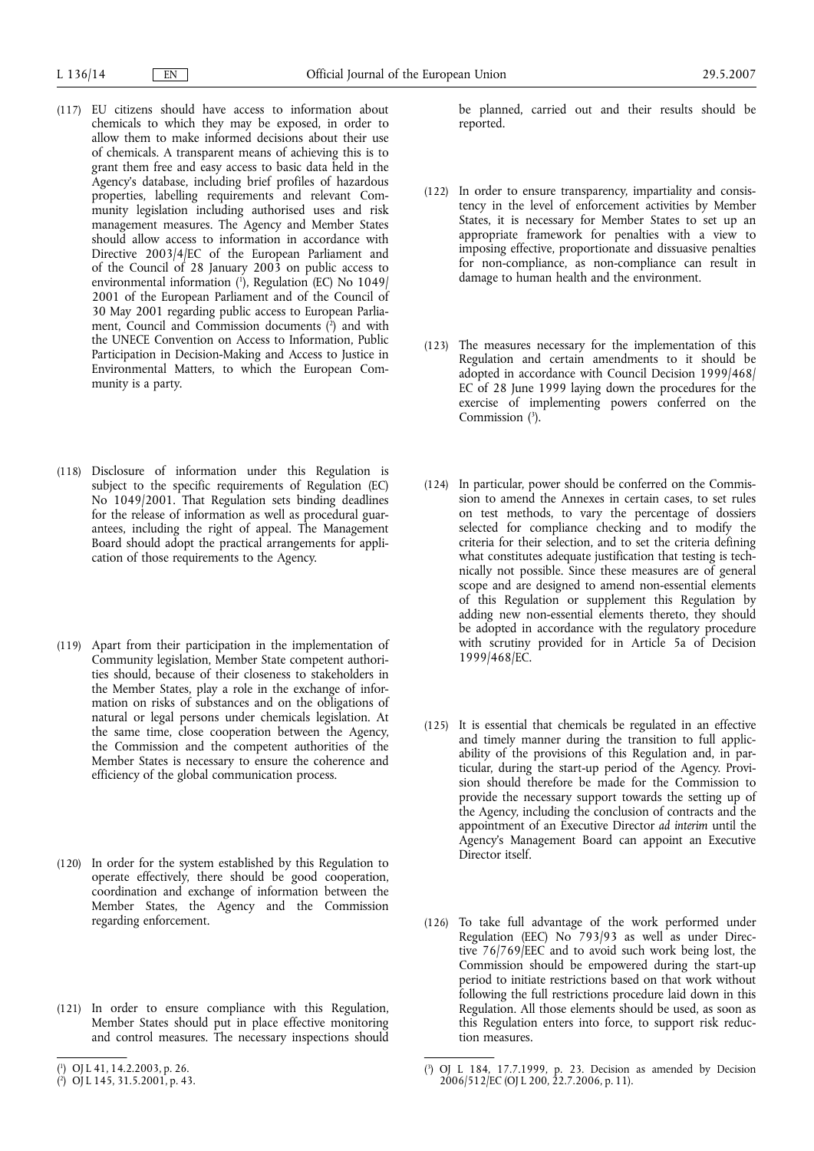- (117) EU citizens should have access to information about chemicals to which they may be exposed, in order to allow them to make informed decisions about their use of chemicals. A transparent means of achieving this is to grant them free and easy access to basic data held in the Agency's database, including brief profiles of hazardous properties, labelling requirements and relevant Community legislation including authorised uses and risk management measures. The Agency and Member States should allow access to information in accordance with Directive 2003/4/EC of the European Parliament and of the Council of 28 January 2003 on public access to environmental information (<sup>1</sup>), Regulation (EC) No 1049/ 2001 of the European Parliament and of the Council of 30 May 2001 regarding public access to European Parliament, Council and Commission documents (2 ) and with the UNECE Convention on Access to Information, Public Participation in Decision-Making and Access to Justice in Environmental Matters, to which the European Community is a party.
- (118) Disclosure of information under this Regulation is subject to the specific requirements of Regulation (EC) No 1049/2001. That Regulation sets binding deadlines for the release of information as well as procedural guarantees, including the right of appeal. The Management Board should adopt the practical arrangements for application of those requirements to the Agency.
- (119) Apart from their participation in the implementation of Community legislation, Member State competent authorities should, because of their closeness to stakeholders in the Member States, play a role in the exchange of information on risks of substances and on the obligations of natural or legal persons under chemicals legislation. At the same time, close cooperation between the Agency, the Commission and the competent authorities of the Member States is necessary to ensure the coherence and efficiency of the global communication process.
- (120) In order for the system established by this Regulation to operate effectively, there should be good cooperation, coordination and exchange of information between the Member States, the Agency and the Commission regarding enforcement.
- (121) In order to ensure compliance with this Regulation, Member States should put in place effective monitoring and control measures. The necessary inspections should

be planned, carried out and their results should be reported.

- (122) In order to ensure transparency, impartiality and consistency in the level of enforcement activities by Member States, it is necessary for Member States to set up an appropriate framework for penalties with a view to imposing effective, proportionate and dissuasive penalties for non-compliance, as non-compliance can result in damage to human health and the environment.
- (123) The measures necessary for the implementation of this Regulation and certain amendments to it should be adopted in accordance with Council Decision 1999/468/ EC of 28 June 1999 laying down the procedures for the exercise of implementing powers conferred on the Commission  $(3)$ .
- (124) In particular, power should be conferred on the Commission to amend the Annexes in certain cases, to set rules on test methods, to vary the percentage of dossiers selected for compliance checking and to modify the criteria for their selection, and to set the criteria defining what constitutes adequate justification that testing is technically not possible. Since these measures are of general scope and are designed to amend non-essential elements of this Regulation or supplement this Regulation by adding new non-essential elements thereto, they should be adopted in accordance with the regulatory procedure with scrutiny provided for in Article 5a of Decision 1999/468/EC.
- (125) It is essential that chemicals be regulated in an effective and timely manner during the transition to full applicability of the provisions of this Regulation and, in particular, during the start-up period of the Agency. Provision should therefore be made for the Commission to provide the necessary support towards the setting up of the Agency, including the conclusion of contracts and the appointment of an Executive Director *ad interim* until the Agency's Management Board can appoint an Executive Director itself.
- (126) To take full advantage of the work performed under Regulation (EEC)  $No$  793/93 as well as under Directive 76/769/EEC and to avoid such work being lost, the Commission should be empowered during the start-up period to initiate restrictions based on that work without following the full restrictions procedure laid down in this Regulation. All those elements should be used, as soon as this Regulation enters into force, to support risk reduction measures.

<sup>(</sup> 1 ) OJ L 41, 14.2.2003, p. 26.

<sup>(</sup> 2 ) OJ L 145, 31.5.2001, p. 43.

<sup>(</sup> 3 ) OJ L 184, 17.7.1999, p. 23. Decision as amended by Decision 2006/512/EC (OJ L 200, 22.7.2006, p. 11).